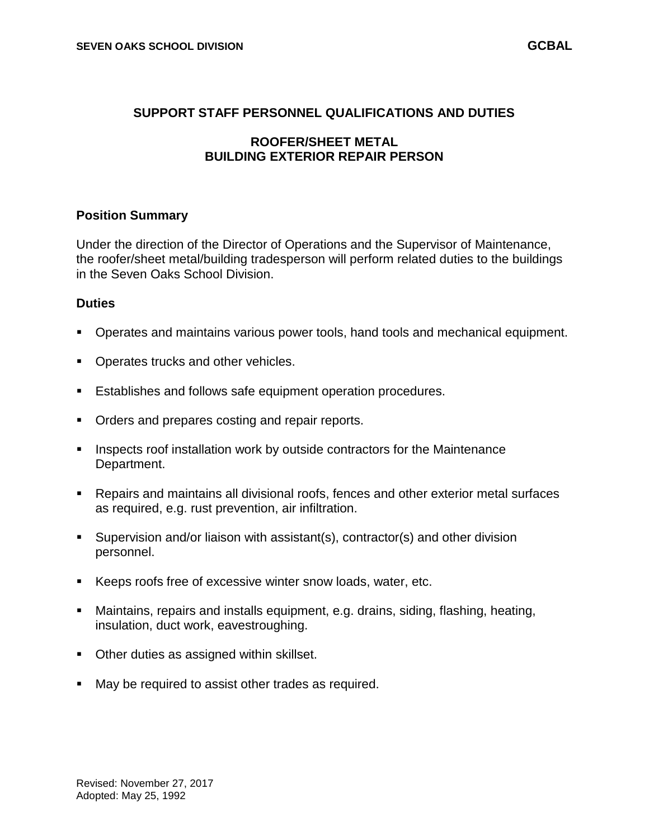### **SUPPORT STAFF PERSONNEL QUALIFICATIONS AND DUTIES**

# **ROOFER/SHEET METAL BUILDING EXTERIOR REPAIR PERSON**

#### **Position Summary**

Under the direction of the Director of Operations and the Supervisor of Maintenance, the roofer/sheet metal/building tradesperson will perform related duties to the buildings in the Seven Oaks School Division.

#### **Duties**

- Operates and maintains various power tools, hand tools and mechanical equipment.
- Operates trucks and other vehicles.
- **Establishes and follows safe equipment operation procedures.**
- **Orders and prepares costing and repair reports.**
- **Inspects roof installation work by outside contractors for the Maintenance** Department.
- Repairs and maintains all divisional roofs, fences and other exterior metal surfaces as required, e.g. rust prevention, air infiltration.
- Supervision and/or liaison with assistant(s), contractor(s) and other division personnel.
- Keeps roofs free of excessive winter snow loads, water, etc.
- Maintains, repairs and installs equipment, e.g. drains, siding, flashing, heating, insulation, duct work, eavestroughing.
- **Other duties as assigned within skillset.**
- **May be required to assist other trades as required.**